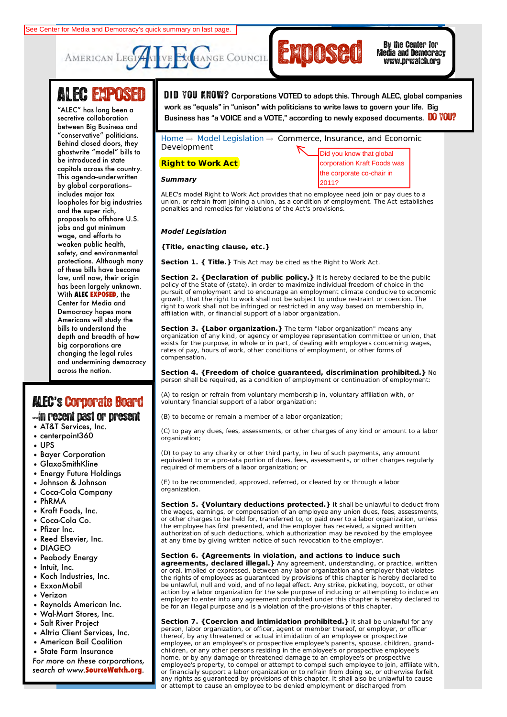



Media and Democracy www.prwatch.org

# ALEC EXPOSED

between Big Business and Behind closed doors, they **Civil Justice** ghostwrite "model" bills to **Commerce, Insurance,** capitols across the country. **and Economic** This agenda--underwritten by global corporations-**Education** loopholes for big industries **Energy, Environment,** and the super rich, **and Agriculture** proposals to offshore U.S. **Federal Relations** wage, and efforts to safety, and environmental protections. Although many **International Relations** law, until now, their origin **Public Safety and** has been largely unknown. **With ALEC EXPOSED**, the Democracy hopes more **Telecommunications** bills to understand the **and Information** depth and breadth of how **Technology** big corporations are and undermining democracy across the nation. "ALEC" has long been a secretive collaboration "conservative" politicians. be introduced in state includes major tax jobs and gut minimum weaken public health, of these bills have become Center for Media and Americans will study the changing the legal rules See Center for Media and Democracy's quick summary on last page.<br>
AMERICAN LEGTANT VE EXCHANGE COUNCIL<br>
THE C" has long been a<br>
"ALEC" has long been a<br>
secretive collaboration<br>
between Big Business and<br>
"conservative" poli

## ALEC**'**s'Corporate Board

### --in recent past or present

- AT&T Services, Inc.
- centerpoint360
- UPS
- Bayer Corporation
- GlaxoSmithKline
- Energy Future Holdings
- Johnson & Johnson
- Coca-Cola Company
- PhRMA
- Kraft Foods, Inc.
- Coca-Cola Co.
- Pfizer Inc.
- Reed Elsevier, Inc.
- DIAGEO
- Peabody Energy
- Intuit, Inc.
- Koch Industries, Inc.
- ExxonMobil
- Verizon
- Reynolds American Inc.
- Wal-Mart Stores, Inc.
- Salt River Project
- Altria Client Services, Inc.
- American Bail Coalition
- State Farm Insurance

*For more on these corporations, search at www.***SourceWatch.org**.

Search GO **LOGIN** | **LOGOUT** | **HOME** | **JOIN ALEC** | **CONTACT** D **I** D YOU KNOW? **Corporations VOTED to adopt this. Through ALEC, global companies RECETINGS ONG SEET C**<br>Business has "a VOICE and a VOTE," according to newly exposed documents. **DO YOU? work as "equals" in "unison" with politicians to write laws to govern your life. Big** 

> corporation Kraft Foods was the corporate co-chair in

Home  $\rightarrow$  Model Legislation  $\rightarrow$  Commerce, Insurance, and Economic Development Did you know that global

## **Right to Work Act**

#### **Summary**

ALEC's model Right to Work Act provides that no employee need join or pay dues to a union, or refrain from joining a union, as a condition of employment. The Act establishes penalties and remedies for violations of the Act's provisions.

#### **Model Legislation**

**{Title, enacting clause, etc.}**

**Section 1. { Title.}** This Act may be cited as the Right to Work Act.

**Section 2. {Declaration of public policy.}** It is hereby declared to be the public policy of the State of (state), in order to maximize individual freedom of choice in the pursuit of employment and to encourage an employment climate conducive to economic growth, that the right to work shall not be subject to undue restraint or coercion. The right to work shall not be infringed or restricted in any way based on membership in, affiliation with, or financial support of a labor organization.

**Section 3. {Labor organization.}** The term "labor organization" means any organization of any kind, or agency or employee representation committee or union, that exists for the purpose, in whole or in part, of dealing with employers concerning wages, rates of pay, hours of work, other conditions of employment, or other forms of compensation.

**Section 4. {Freedom of choice guaranteed, discrimination prohibited.}** No person shall be required, as a condition of employment or continuation of employment:

(A) to resign or refrain from voluntary membership in, voluntary affiliation with, or voluntary financial support of a labor organization;

(B) to become or remain a member of a labor organization;

(C) to pay any dues, fees, assessments, or other charges of any kind or amount to a labor organization;

(D) to pay to any charity or other third party, in lieu of such payments, any amount equivalent to or a pro-rata portion of dues, fees, assessments, or other charges regularly required of members of a labor organization; or

(E) to be recommended, approved, referred, or cleared by or through a labor organization.

**Section 5. {Voluntary deductions protected.}** It shall be unlawful to deduct from the wages, earnings, or compensation of an employee any union dues, fees, assessments, or other charges to be held for, transferred to, or paid over to a labor organization, unless the employee has first presented, and the employer has received, a signed written authorization of such deductions, which authorization may be revoked by the employee at any time by giving written notice of such revocation to the employer.

#### **Section 6. {Agreements in violation, and actions to induce such**

**agreements, declared illegal.}** Any agreement, understanding, or practice, written or oral, implied or expressed, between any labor organization and employer that violates the rights of employees as guaranteed by provisions of this chapter is hereby declared to be unlawful, null and void, and of no legal effect. Any strike, picketing, boycott, or other action by a labor organization for the sole purpose of inducing or attempting to induce an employer to enter into any agreement prohibited under this chapter is hereby declared to be for an illegal purpose and is a violation of the pro-visions of this chapter.

**Section 7. {Coercion and intimidation prohibited.}** It shall be unlawful for any person, labor organization, or officer, agent or member thereof, or employer, or officer thereof, by any threatened or actual intimidation of an employee or prospective employee, or an employee's or prospective employee's parents, spouse, children, grandchildren, or any other persons residing in the employee's or prospective employee's home, or by any damage or threatened damage to an employee's or prospective employee's property, to compel or attempt to compel such employee to join, affiliate with, or financially support a labor organization or to refrain from doing so, or otherwise forfeit any rights as guaranteed by provisions of this chapter. It shall also be unlawful to cause or attempt to cause an employee to be denied employment or discharged from